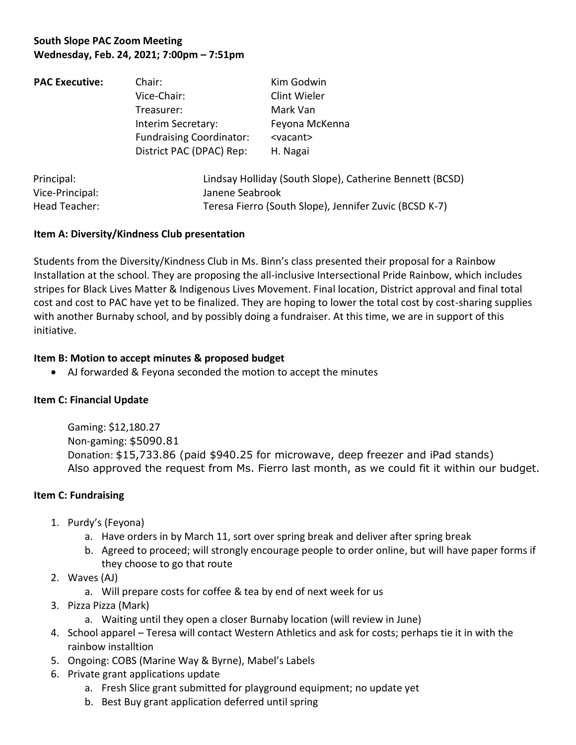# **South Slope PAC Zoom Meeting Wednesday, Feb. 24, 2021; 7:00pm – 7:51pm**

| <b>PAC Executive:</b> | Chair:                                                                                                         | Kim Godwin                                                                   |                 |                                                          |  |
|-----------------------|----------------------------------------------------------------------------------------------------------------|------------------------------------------------------------------------------|-----------------|----------------------------------------------------------|--|
|                       | Vice-Chair:<br>Treasurer:<br>Interim Secretary:<br><b>Fundraising Coordinator:</b><br>District PAC (DPAC) Rep: | Clint Wieler<br>Mark Van<br>Feyona McKenna<br><vacant><br/>H. Nagai</vacant> |                 |                                                          |  |
|                       |                                                                                                                |                                                                              | Principal:      | Lindsay Holliday (South Slope), Catherine Bennett (BCSD) |  |
|                       |                                                                                                                |                                                                              | Vice-Principal: | Janene Seabrook                                          |  |

Head Teacher: Teresa Fierro (South Slope), Jennifer Zuvic (BCSD K-7)

# **Item A: Diversity/Kindness Club presentation**

Students from the Diversity/Kindness Club in Ms. Binn's class presented their proposal for a Rainbow Installation at the school. They are proposing the all-inclusive Intersectional Pride Rainbow, which includes stripes for Black Lives Matter & Indigenous Lives Movement. Final location, District approval and final total cost and cost to PAC have yet to be finalized. They are hoping to lower the total cost by cost-sharing supplies with another Burnaby school, and by possibly doing a fundraiser. At this time, we are in support of this initiative.

### **Item B: Motion to accept minutes & proposed budget**

• AJ forwarded & Feyona seconded the motion to accept the minutes

# **Item C: Financial Update**

Gaming: \$12,180.27 Non-gaming: \$5090.81 Donation: \$15,733.86 (paid \$940.25 for microwave, deep freezer and iPad stands) Also approved the request from Ms. Fierro last month, as we could fit it within our budget.

### **Item C: Fundraising**

- 1. Purdy's (Feyona)
	- a. Have orders in by March 11, sort over spring break and deliver after spring break
	- b. Agreed to proceed; will strongly encourage people to order online, but will have paper forms if they choose to go that route
- 2. Waves (AJ)
	- a. Will prepare costs for coffee & tea by end of next week for us
- 3. Pizza Pizza (Mark)
	- a. Waiting until they open a closer Burnaby location (will review in June)
- 4. School apparel Teresa will contact Western Athletics and ask for costs; perhaps tie it in with the rainbow installtion
- 5. Ongoing: COBS (Marine Way & Byrne), Mabel's Labels
- 6. Private grant applications update
	- a. Fresh Slice grant submitted for playground equipment; no update yet
	- b. Best Buy grant application deferred until spring